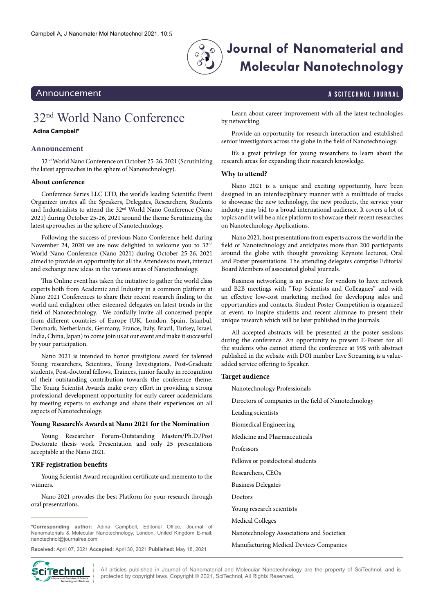

# **Journal of Nanomaterial and Molecular Nanotechnology**

## Announcement Announcement Announcement A Science A Science A Science A Science A Science A Science A Science A

# <span id="page-0-0"></span>32nd World Nano Conference

### **Adina Campbell\***

### **Announcement**

32nd World Nano Conference on October 25-26, 2021 (Scrutinizing the latest approaches in the sphere of Nanotechnology).

#### **About conference**

Conference Series LLC LTD, the world's leading Scientific Event Organizer invites all the Speakers, Delegates, Researchers, Students and Industrialists to attend the 32nd World Nano Conference (Nano 2021) during October 25-26, 2021 around the theme Scrutinizing the latest approaches in the sphere of Nanotechnology.

Following the success of previous Nano Conference held during November 24, 2020 we are now delighted to welcome you to  $32<sup>nd</sup>$ World Nano Conference (Nano 2021) during October 25-26, 2021 aimed to provide an opportunity for all the Attendees to meet, interact and exchange new ideas in the various areas of Nanotechnology.

This Online event has taken the initiative to gather the world class experts both from Academic and Industry in a common platform at Nano 2021 Conferences to share their recent research finding to the world and enlighten other esteemed delegates on latest trends in the field of Nanotechnology. We cordially invite all concerned people from different countries of Europe (UK, London, Spain, Istanbul, Denmark, Netherlands, Germany, France, Italy, Brazil, Turkey, Israel, India, China, Japan) to come join us at our event and make it successful by your participation.

Nano 2021 is intended to honor prestigious award for talented Young researchers, Scientists, Young Investigators, Post-Graduate students, Post-doctoral fellows, Trainees, junior faculty in recognition of their outstanding contribution towards the conference theme. The Young Scientist Awards make every effort in providing a strong professional development opportunity for early career academicians by meeting experts to exchange and share their experiences on all aspects of Nanotechnology.

#### **Young Research's Awards at Nano 2021 for the Nomination**

Young Researcher Forum-Outstanding Masters/Ph.D./Post Doctorate thesis work Presentation and only 25 presentations acceptable at the Nano 2021.

#### **YRF registration benefits**

Young Scientist Award recognition certificate and memento to the winners.

Nano 2021 provides the best Platform for your research through oral presentations.

**\*Corresponding author:** Adina Campbell, Editorial Office, Journal of Nanomaterials & Molecular Nanotechnology, London, United Kingdom E-mail: [nanotechnol@journalres.com](mailto:nanotechnol@journalres.com)

**Received:** April 07, 2021 **Accepted:** April 30, 2021 **Published:** May 18, 2021



Learn about career improvement with all the latest technologies by networking.

Provide an opportunity for research interaction and established senior investigators across the globe in the field of Nanotechnology.

It's a great privilege for young researchers to learn about the research areas for expanding their research knowledge.

#### **Why to attend?**

Nano 2021 is a unique and exciting opportunity, have been designed in an interdisciplinary manner with a multitude of tracks to showcase the new technology, the new products, the service your industry may bid to a broad international audience. It covers a lot of topics and it will be a nice platform to showcase their recent researches on Nanotechnology Applications.

Nano 2021, host presentations from experts across the world in the field of Nanotechnology and anticipates more than 200 participants around the globe with thought provoking Keynote lectures, Oral and Poster presentations. The attending delegates comprise Editorial Board Members of associated global journals.

Business networking is an avenue for vendors to have network and B2B meetings with "Top Scientists and Colleagues" and with an effective low-cost marketing method for developing sales and opportunities and contacts. Student Poster Competition is organized at event, to inspire students and recent alumnae to present their unique research which will be later published in the journals.

All accepted abstracts will be presented at the poster sessions during the conference. An opportunity to present E-Poster for all the students who cannot attend the conference at 99\$ with abstract published in the website with DOI number Live Streaming is a valueadded service offering to Speaker.

#### **Target audience**

Nanotechnology Professionals

- Directors of companies in the field of Nanotechnology
- Leading scientists
- Biomedical Engineering
- Medicine and Pharmaceuticals
- Professors
- Fellows or postdoctoral students
- Researchers, CEOs
- Business Delegates
- Doctors
- Young research scientists
- Medical Colleges
- Nanotechnology Associations and Societies
- Manufacturing Medical Devices Companies

All articles published in Journal of Nanomaterial and Molecular Nanotechnology are the property of SciTechnol, and is **if PECHING!** All articles published in Journal of Nanomaterial and Molecular Nanotechnold<br>Mintenational Publisher of Science, **International Public Protected by copyright** laws. Copyright © 2021, SciTechnol, All Rights Re